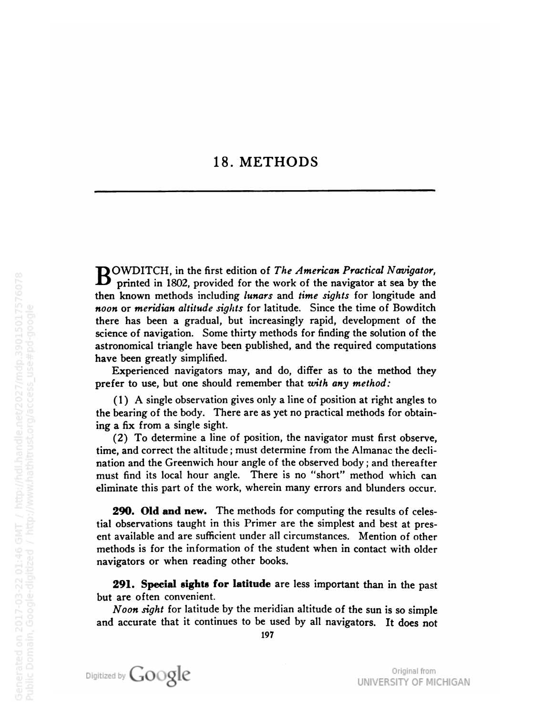## 18. METHODS

**BOWDITCH**, in the first edition of The American Practical Navigator, printed in 1802, provided for the work of the navigator at sea by the then known methods including lunars and time sights for longitude and noon or meridian altitude sights for latitude. Since the time of Bowditch there has been a gradual, but increasingly rapid, development of the science of navigation. Some thirty methods for finding the solution of the astronomical triangle have been published, and the required computations have been greatly simplified.

Experienced navigators may, and do, differ as to the method they prefer to use, but one should remember that with any method:

(1) A single observation gives only <sup>a</sup> line of position at right angles to the bearing of the body. There are as yet no practical methods for obtain ing a fix from a single sight.

(2) To determine <sup>a</sup> line of position, the navigator must first observe, time, and correct the altitude ; must determine from the Almanac the decli nation and the Greenwich hour angle of the observed body ; and thereafter must find its local hour angle. There is no "short" method which can eliminate this part of the work, wherein many errors and blunders occur.

290. Old and new. The methods for computing the results of celestial observations taught in this Primer are the simplest and best at pres ent available and are sufficient under all circumstances. Mention of other methods is for the information of the student when in contact with older navigators or when reading other books.

291. Special sights for latitude are less important than in the past but are often convenient.

Noon sight for latitude by the meridian altitude of the sun is so simple and accurate that it continues to be used by all navigators. It does not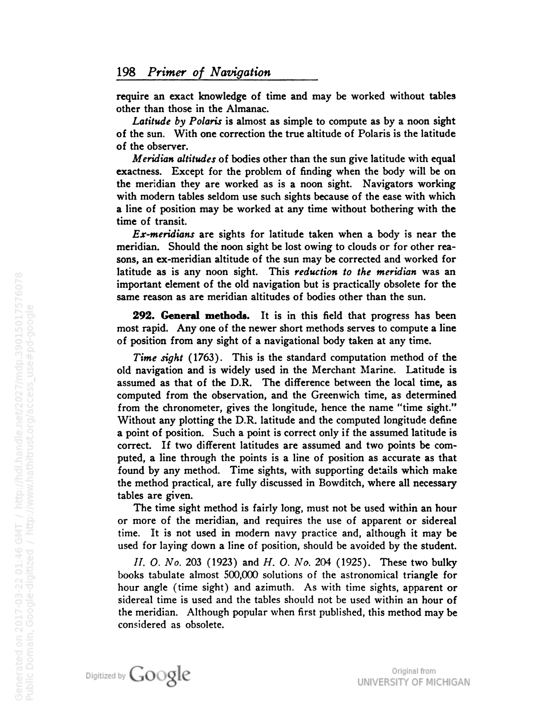require an exact knowledge of time and may be worked without tables other than those in the Almanac.

Latitude by Polaris is almost as simple to compute as by a noon sight of the sun. With one correction the true altitude of Polaris is the latitude of the observer.

Meridian altitudes of bodies other than the sun give latitude with equal exactness. Except for the problem of finding when the body will be on the meridian they are worked as is a noon sight. Navigators working with modern tables seldom use such sights because of the ease with which a line of position may be worked at any time without bothering with the time of transit.

Ex-meridians are sights for latitude taken when a body is near the meridian. Should the noon sight be lost owing to clouds or for other rea sons, an ex-meridian altitude of the sun may be corrected and worked for latitude as is any noon sight. This reduction to the meridian was an important element of the old navigation but is practically obsolete for the same reason as are meridian altitudes of bodies other than the sun.

**292. General methods.** It is in this field that progress has been most rapid. Any one of the newer short methods serves to compute a line of position from any sight of a navigational body taken at any time.

Time sight (1763). This is the standard computation method of the old navigation and is widely used in the Merchant Marine. Latitude is assumed as that of the D.R. The difference between the local time, as computed from the observation, and the Greenwich time, as determined from the chronometer, gives the longitude, hence the name "time sight." Without any plotting the D.R. latitude and the computed longitude define <sup>a</sup> point of position. Such <sup>a</sup> point is correct only if the assumed latitude is correct. If two different latitudes are assumed and two points be com puted, a line through the points is a line of position as accurate as that found by any method. Time sights, with supporting details which make the method practical, are fully discussed in Bowditch, where all necessary tables are given.

The time sight method is fairly long, must not be used within an hour or more of the meridian, and requires the use of apparent or sidereal time. It is not used in modern navy practice and, although it may be used for laying down a line of position, should be avoided by the student.

//. 0. No. <sup>203</sup> (1923) and H. 0. No. <sup>204</sup> (1925). These two bulky books tabulate almost 500,000 solutions of the astronomical triangle for hour angle (time sight) and azimuth. As with time sights, apparent or sidereal time is used and the tables should not be used within an hour of the meridian. Although popular when first published, this method may be considered as obsolete.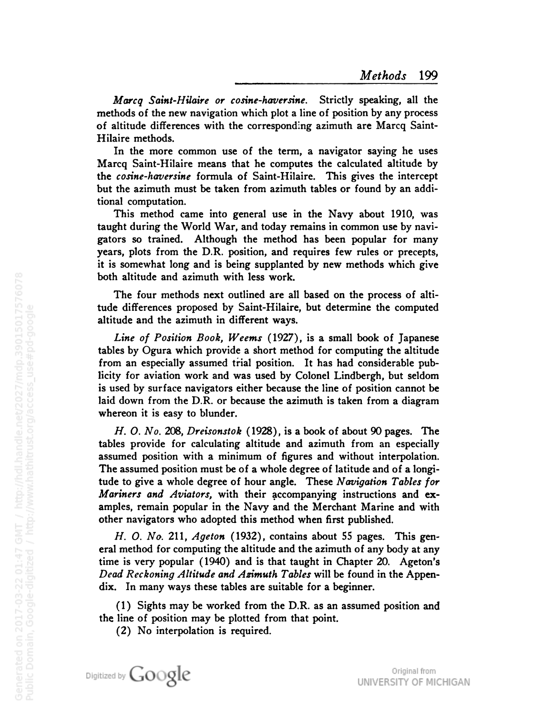Marcq Saint-Hilaire or cosine-haversine. Strictly speaking, all the methods of the new navigation which plot <sup>a</sup> line of position by any process of altitude differences with the corresponding azimuth are Marcq Saint-Hilaire methods.

In the more common use of the term, a navigator saying he uses Marcq Saint-Hilaire means that he computes the calculated altitude by the cosine-haversine formula of Saint-Hilaire. This gives the intercept but the azimuth must be taken from azimuth tables or found by an addi tional computation.

This method came into general use in the Navy about 1910, was taught during the World War, and today remains in common use by navi gators so trained. Although the method has been popular for many years, plots from the D.R. position, and requires few rules or precepts, it is somewhat long and is being supplanted by new methods which give both altitude and azimuth with less work.

The four methods next outlined are all based on the process of alti tude differences proposed by Saint-Hilaire, but determine the computed altitude and the azimuth in different ways.

Line of Position Book, Weems (1927), is a small book of Japanese tables by Ogura which provide a short method for computing the altitude from an especially assumed trial position. It has had considerable pub licity for aviation work and was used by Colonel Lindbergh, but seldom is used by surface navigators either because the line of position cannot be laid down from the D.R. or because the azimuth is taken from a diagram whereon it is easy to blunder.

H. 0. No. 208, Dreisonstok (1928), is a book of about 90 pages. The tables provide for calculating altitude and azimuth from an especially assumed position with a minimum of figures and without interpolation. The assumed position must be of <sup>a</sup> whole degree of latitude and of <sup>a</sup> longi tude to give a whole degree of hour angle. These Navigation Tables for Mariners and Aviators, with their accompanying instructions and examples, remain popular in the Navy and the Merchant Marine and with other navigators who adopted this method when first published.

H. O. No. 211, Ageton (1932), contains about 55 pages. This general method for computing the altitude and the azimuth of any body at any time is very popular (1940) and is that taught in Chapter 20. Ageton's Dead Reckoning Altitude and Azimuth Tables will be found in the Appendix. In many ways these tables are suitable for <sup>a</sup> beginner.

(1) Sights may be worked from the D.R. as an assumed position and the line of position may be plotted from that point.

(2) No interpolation is required.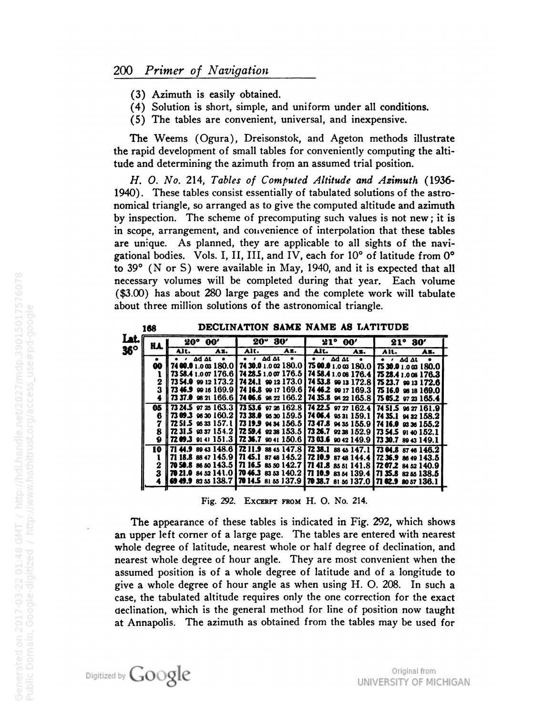- (3) Azimuth is easily obtained.
- (4) Solution is short, simple, and uniform under all conditions.
- (5) The tables are convenient, universal, and inexpensive.

The Weems (Ogura), Dreisonstok, and Ageton methods illustrate the rapid development of small tables for conveniently computing the altitude and determining the azimuth from an assumed trial position.

H. O. No. 214, Tables of Computed Altitude and Azimuth (1936-1940). These tables consist essentially of tabulated solutions of the astronomical triangle, so arranged as to give the computed altitude and azimuth by inspection. The scheme of precomputing such values is not new; it is in scope, arrangement, and convenience of interpolation that these tables are unique. As planned, they are applicable to all sights of the navigational bodies. Vols. I, II, III, and IV, each for 10° of latitude from 0° to  $39^{\circ}$  (N or S) were available in May, 1940, and it is expected that all necessary volumes will be completed during that year. Each volume (\$3.00) has about 280 large pages and the complete work will tabulate about three million solutions of the astronomical triangle.

|            | 168 | DECLINATION SAME NAME AS LATITUDE |                                                                                                     |                                                                                                                                                |                                         |  |
|------------|-----|-----------------------------------|-----------------------------------------------------------------------------------------------------|------------------------------------------------------------------------------------------------------------------------------------------------|-----------------------------------------|--|
| Lat.       | KA. | $20^{\circ}$ $00'$                | $20^{\circ}$ $30'$                                                                                  | $21^{\circ} 00'$                                                                                                                               | $21^{\circ} 30'$                        |  |
| $36^\circ$ |     | Alt.<br>Az.                       | Alt.<br>Az.                                                                                         | Alt.<br>Az.                                                                                                                                    | Alt.<br>As.                             |  |
|            | 00  | $\cdot$ ad at<br>$\bullet$        | $\bullet$ $\bullet$ $\Delta d \Delta t$<br>$\bullet$<br>74 00.0 1.0 03 180.0   74 30.0 1.0 02 180.0 | $\bullet$ $\bullet$ $\Delta d \Delta t$<br>$\bullet$<br>75 00.0 1.0 as 180.0   75 30.0 1.0 as 180.0                                            | $\bullet$ $\bullet$ $\Delta d \Delta t$ |  |
|            |     |                                   |                                                                                                     | 73 58.4 1.0 07 176.6 74 28.5 1.0 07 176.5 74 58.4 1.0 08 176.4 75 28.4 1.0 08 176.3                                                            |                                         |  |
|            | 2   |                                   |                                                                                                     | 73 54.0 99 12 173.2 74 24.1 99 12 173.0 74 53.8 99 13 172.8 75 23.7 99 13 172.6                                                                |                                         |  |
|            | 3   |                                   |                                                                                                     | 73 46.9 99 16 169.9 74 16.8 99 17 169.6 74 46.2 99 17 169.3 75 16.0 98 18 169.0                                                                |                                         |  |
|            |     |                                   |                                                                                                     | 73 37.0 98 21 166.6 74 06.6 98 22 166.2 74 35.8 98 22 165.8 75 05.2 97 23 165.4                                                                |                                         |  |
|            | 05  |                                   |                                                                                                     | $\left[73\,24.5\right]$ or 25 $163.3\left[73\,53.6\right]$ or 26 $162.8\left[74\,22.5\right]$ or 27 $162.4\left[74\,51.5\right]$ os 27 $161.9$ |                                         |  |
|            |     |                                   |                                                                                                     | 73 09.3 $\,$ 96.30 160.2   73 38.0 $\,$ 96.30 159.5   74 06.4 $\,$ 95.31 159.1   74 35.1 $\,$ 94.32 158.2                                      |                                         |  |
|            |     |                                   |                                                                                                     | 72 51.5 $\,\,\infty\,$ 33 157.1   73 19.9 $\,\infty\,$ 34 156.5   73 47.8 $\,\infty\,$ 35 155.9   74 16.0 $\,\,\infty\,$ 36 155.2              |                                         |  |
|            |     |                                   |                                                                                                     | 72 31.5 $\%$ 37 154.2 72 59.4 $\%$ 38 153.5 73 26.7 $\%$ 38 152.9 73 54.5 $\%$ 40 152.1                                                        |                                         |  |
|            | 9   |                                   |                                                                                                     | 72 09.3 91 41 151.3    72 36.7 90 41 150.6    73 03.6 90 42 149.9    73 30.7 89 43 149.1                                                       |                                         |  |
|            | 10  |                                   |                                                                                                     | 71 44.9 89 43 148.6   72 11.9 88 45 147.8   72 38.1 88 45 147.1   73 04.8 87 46 146.2                                                          |                                         |  |
|            |     |                                   |                                                                                                     | 71 18.8 88 47 145.9 71 45.1 87 48 145.2 72 10.9 87 48 144.4 72 36.9 86 49 143.5                                                                |                                         |  |
|            | 2   |                                   |                                                                                                     | 70 50.8 86 80 143.5 71 16.5 85 80 142.7 71 41.8 85 81 141.8 72 07.2 84 82 140.9                                                                |                                         |  |
|            | 3   |                                   |                                                                                                     | 70 21.0 84 52 141.0 70 46.3 83 53 140.2 71 10.9 83 64 139.4 71 35.8 82 55 138.5                                                                |                                         |  |
|            |     |                                   |                                                                                                     | 69 49.9 82 55 138.7 70 14.5 81 55 137.9 70 38.7 81 56 137.0 71 02.9 80 57 136.1                                                                |                                         |  |

Fig. 292. EXCERPT FROM H. O. No. 214.

The appearance of these tables is indicated in Fig. 292, which shows an upper left corner of a large page. The tables are entered with nearest whole degree of latitude, nearest whole or half degree of declination, and nearest whole degree of hour angle. They are most convenient when the assumed position is of a whole degree of latitude and of a longitude to give a whole degree of hour angle as when using H. O. 208. In such a case, the tabulated altitude requires only the one correction for the exact declination, which is the general method for line of position now taught at Annapolis. The azimuth as obtained from the tables may be used for

Original from UNIVERSITY OF MICHIGAN